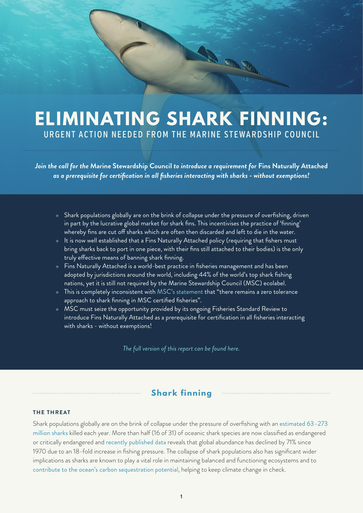# **ELIMINATING SHARK FINNING:** URGENT ACTION NEEDED FROM THE MARINE STEWARDSHIP COUNCIL

Bee

*Join the call for the* **Marine Stewardship Council** *to introduce a requirement for* **Fins Naturally Attached** *as a prerequisite for certification in all fisheries interacting with sharks - without exemptions!*

- » Shark populations globally are on the brink of collapse under the pressure of overfishing, driven in part by the lucrative global market for shark fins. This incentivises the practice of 'finning' whereby fins are cut off sharks which are often then discarded and left to die in the water.
- » It is now well established that a Fins Naturally Attached policy (requiring that fishers must bring sharks back to port in one piece, with their fins still attached to their bodies) is the only truly effective means of banning shark finning.
- » Fins Naturally Attached is a world-best practice in fisheries management and has been adopted by jurisdictions around the world, including 44% of the world's top shark fishing nations, yet it is still not required by the Marine Stewardship Council (MSC) ecolabel.
- » This is completely inconsistent with [MSC's statement](https://mscportal.force.com/interpret/s/article/Clarification-of-shark-finning-conviction-scope-requirements-and-the-approach-to-take-when-there-is-evidence-of-shark-finning-in-the-UoA-UoC) that "there remains a zero tolerance approach to shark finning in MSC certified fisheries".
- » MSC must seize the opportunity provided by its ongoing Fisheries Standard Review to introduce Fins Naturally Attached as a prerequisite for certification in all fisheries interacting with sharks - without exemptions!

*[The full version of this report can be found here.](https://www.sharkproject.org/wp-content/uploads/2021/02/Analyis-of-the-Marine-Stewardship-Councils-policy-on-shark-finning-February-2021.pdf)*

## **Shark finning**

#### **THE THREAT**

Shark populations globally are on the brink of collapse under the pressure of overfishing with an [estimated 63–273](https://www.sciencedirect.com/science/article/abs/pii/S0308597X13000055?via%3Dihub)  [million sharks](https://www.sciencedirect.com/science/article/abs/pii/S0308597X13000055?via%3Dihub) killed each year. More than half (16 of 31) of oceanic shark species are now classified as endangered or critically endangered and [recently published data](https://pubmed.ncbi.nlm.nih.gov/33505035/) reveals that global abundance has declined by 71% since 1970 due to an 18-fold increase in fishing pressure. The collapse of shark populations also has significant wider implications as sharks are known to play a vital role in maintaining balanced and functioning ecosystems and to [contribute to the ocean's carbon sequestration potential](https://advances.sciencemag.org/content/6/44/eabb4848), helping to keep climate change in check.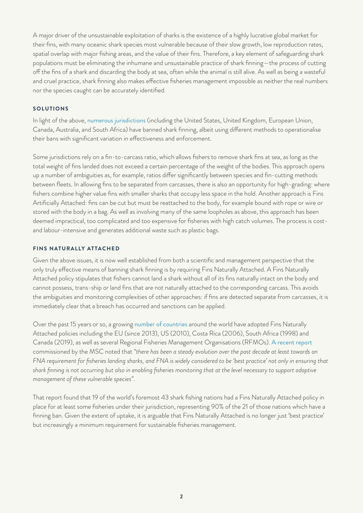A major driver of the unsustainable exploitation of sharks is the existence of a highly lucrative global market for their fins, with many oceanic shark species most vulnerable because of their slow growth, low reproduction rates, spatial overlap with major fishing areas, and the value of their fins. Therefore, a key element of safeguarding shark populations must be eliminating the inhumane and unsustainable practice of shark finning—the process of cutting off the fins of a shark and discarding the body at sea, often while the animal is still alive. As well as being a wasteful and cruel practice, shark finning also makes effective fisheries management impossible as neither the real numbers nor the species caught can be accurately identified.

#### **SOLUTIONS**

In light of the above, [numerous jurisdictions](https://awionline.org/content/international-shark-finning-bans-and-policies) (including the United States, United Kingdom, European Union, Canada, Australia, and South Africa) have banned shark finning, albeit using different methods to operationalise their bans with significant variation in effectiveness and enforcement.

Some jurisdictions rely on a fin-to-carcass ratio, which allows fishers to remove shark fins at sea, as long as the total weight of fins landed does not exceed a certain percentage of the weight of the bodies. This approach opens up a number of ambiguities as, for example, ratios differ significantly between species and fin-cutting methods between fleets. In allowing fins to be separated from carcasses, there is also an opportunity for high-grading: where fishers combine higher value fins with smaller sharks that occupy less space in the hold. Another approach is Fins Artificially Attached: fins can be cut but must be reattached to the body, for example bound with rope or wire or stored with the body in a bag. As well as involving many of the same loopholes as above, this approach has been deemed impractical, too complicated and too expensive for fisheries with high catch volumes. The process is costand labour-intensive and generates additional waste such as plastic bags.

#### **FINS NATURALLY ATTACHED**

Given the above issues, it is now well established from both a scientific and management perspective that the only truly effective means of banning shark finning is by requiring Fins Naturally Attached. A Fins Naturally Attached policy stipulates that fishers cannot land a shark without all of its fins naturally intact on the body and cannot possess, trans-ship or land fins that are not naturally attached to the corresponding carcass. This avoids the ambiguities and monitoring complexities of other approaches: if fins are detected separate from carcasses, it is immediately clear that a breach has occurred and sanctions can be applied.

Over the past 15 years or so, a growing [number of countries](https://awionline.org/content/international-shark-finning-bans-and-policies) around the world have adopted Fins Naturally Attached policies including the EU (since 2013), US (2010), Costa Rica (2006), South Africa (1998) and Canada (2019), as well as several Regional Fisheries Management Organisations (RFMOs). [A recent report](https://www.msc.org/docs/default-source/default-document-library/stakeholders/best-practice-in-the-prevention-of-shark-finning-report.pdf?sfvrsn=3f26ac1c_4) commissioned by the MSC noted that *"there has been a steady evolution over the past decade at least towards an FNA requirement for fisheries landing sharks, and FNA is widely considered to be 'best practice' not only in ensuring that shark finning is not occurring but also in enabling fisheries monitoring that at the level necessary to support adaptive management of these vulnerable species"*.

That report found that 19 of the world's foremost 43 shark fishing nations had a Fins Naturally Attached policy in place for at least some fisheries under their jurisdiction, representing 90% of the 21 of those nations which have a finning ban. Given the extent of uptake, it is arguable that Fins Naturally Attached is no longer just 'best practice' but increasingly a minimum requirement for sustainable fisheries management.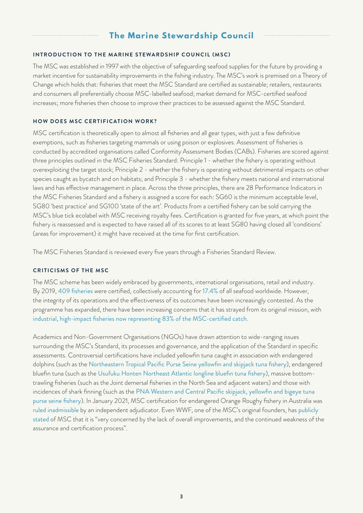# **The Marine Stewardship Council**

#### **INTRODUCTION TO THE MARINE STEWARDSHIP COUNCIL (MSC)**

The MSC was established in 1997 with the objective of safeguarding seafood supplies for the future by providing a market incentive for sustainability improvements in the fishing industry. The MSC's work is premised on a Theory of Change which holds that: fisheries that meet the MSC Standard are certified as sustainable; retailers, restaurants and consumers all preferentially choose MSC-labelled seafood; market demand for MSC-certified seafood increases; more fisheries then choose to improve their practices to be assessed against the MSC Standard.

#### **HOW DOES MSC CERTIFICATION WORK?**

MSC certification is theoretically open to almost all fisheries and all gear types, with just a few definitive exemptions, such as fisheries targeting mammals or using poison or explosives. Assessment of fisheries is conducted by accredited organisations called Conformity Assessment Bodies (CABs). Fisheries are scored against three principles outlined in the MSC Fisheries Standard: Principle 1 - whether the fishery is operating without overexploiting the target stock; Principle 2 - whether the fishery is operating without detrimental impacts on other species caught as bycatch and on habitats; and Principle 3 - whether the fishery meets national and international laws and has effective management in place. Across the three principles, there are 28 Performance Indicators in the MSC Fisheries Standard and a fishery is assigned a score for each: SG60 is the minimum acceptable level, SG80 'best practice' and SG100 'state of the art'. Products from a certified fishery can be sold carrying the MSC's blue tick ecolabel with MSC receiving royalty fees. Certification is granted for five years, at which point the fishery is reassessed and is expected to have raised all of its scores to at least SG80 having closed all 'conditions' (areas for improvement) it might have received at the time for first certification.

The MSC Fisheries Standard is reviewed every five years through a Fisheries Standard Review.

#### **CRITICISMS OF THE MSC**

The MSC scheme has been widely embraced by governments, international organisations, retail and industry. By 2019, [409 fisheries](https://www.msc.org/docs/default-source/default-document-library/about-the-msc/msc-annual-report-2019-2020.pdf) were certified, collectively accounting for [17.4%](https://www.msc.org/docs/default-source/default-document-library/about-the-msc/msc-annual-report-2019-2020.pdf) of all seafood worldwide. However, the integrity of its operations and the effectiveness of its outcomes have been increasingly contested. As the programme has expanded, there have been increasing concerns that it has strayed from its original mission, with [industrial, high-impact fisheries now representing 83% of the MSC-certified catch](https://www.bloomassociation.org/wp-content/uploads/2020/05/sham-msc-label.pdf).

Academics and Non-Government Organisations (NGOs) have drawn attention to wide-ranging issues surrounding the MSC's Standard, its processes and governance, and the application of the Standard in specific assessments. Controversial certifications have included yellowfin tuna caught in association with endangered dolphins (such as the [Northeastern Tropical Pacific Purse Seine yellowfin and skipjack tuna fishery](https://fisheries.msc.org/en/fisheries/northeastern-tropical-pacific-purse-seine-yellowfin-and-skipjack-tuna-fishery/@@view)), endangered bluefin tuna (such as the [Usufuku Honten Northeast Atlantic longline bluefin tuna fishery](https://fisheries.msc.org/en/fisheries/usufuku-honten-northeast-atlantic-longline-bluefin-tuna-fishery/@@view)), massive bottomtrawling fisheries (such as the Joint demersal fisheries in the North Sea and adjacent waters) and those with incidences of shark finning (such as the [PNA Western and Central Pacific skipjack, yellowfin and bigeye tuna](https://fisheries.msc.org/en/fisheries/pna-western-and-central-pacific-skipjack-yellowfin-and-bigeye-tuna-purse-seine-fishery-fad-and-non-fad-sets/@@view)  [purse seine fishery](https://fisheries.msc.org/en/fisheries/pna-western-and-central-pacific-skipjack-yellowfin-and-bigeye-tuna-purse-seine-fishery-fad-and-non-fad-sets/@@view)). In January 2021, MSC certification for endangered Orange Roughy fishery in Australia was [ruled inadmissible](https://www.marineconservation.org.au/orange-roughy-ruling-victory-for-sustainable-fisheries-and-for-ocean-loving-australians/) by an independent adjudicator. Even WWF, one of the MSC's original founders, has [publicly](https://wwf.panda.org/wwf_news/press_releases/local_press_releases/?361757/WWF-Statement-on-MSCs-Lack-of-Reform)  [stated](https://wwf.panda.org/wwf_news/press_releases/local_press_releases/?361757/WWF-Statement-on-MSCs-Lack-of-Reform) of MSC that it is "very concerned by the lack of overall improvements, and the continued weakness of the assurance and certification process".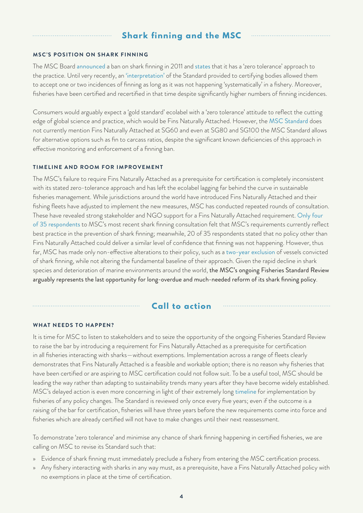# **Shark finning and the MSC**

#### **MSC'S POSITION ON SHARK FINNING**

The MSC Board [announced](https://www.msc.org/media-centre/press-releases/msc-board-statement-on-shark-finning-) a ban on shark finning in 2011 and [states](https://mscportal.force.com/interpret/s/article/Clarification-of-shark-finning-conviction-scope-requirements-and-the-approach-to-take-when-there-is-evidence-of-shark-finning-in-the-UoA-UoC) that it has a 'zero tolerance' approach to the practice. Until very recently, an ['interpretation'](https://mscportal.force.com/interpret/s/article/Shark-finning-requirements-1527262010507) of the Standard provided to certifying bodies allowed them to accept one or two incidences of finning as long as it was not happening 'systematically' in a fishery. Moreover, fisheries have been certified and recertified in that time despite significantly higher numbers of finning incidences.

Consumers would arguably expect a 'gold standard' ecolabel with a 'zero tolerance' attitude to reflect the cutting edge of global science and practice, which would be Fins Naturally Attached. However, the [MSC Standard](https://www.msc.org/docs/default-source/default-document-library/for-business/program-documents/fisheries-program-documents/msc-fisheries-standard-v2-01.pdf?sfvrsn=8ecb3272_13) does not currently mention Fins Naturally Attached at SG60 and even at SG80 and SG100 the MSC Standard allows for alternative options such as fin to carcass ratios, despite the significant known deficiencies of this approach in effective monitoring and enforcement of a finning ban.

#### **TIMELINE AND ROOM FOR IMPROVEMENT**

The MSC's failure to require Fins Naturally Attached as a prerequisite for certification is completely inconsistent with its stated zero-tolerance approach and has left the ecolabel lagging far behind the curve in sustainable fisheries management. While jurisdictions around the world have introduced Fins Naturally Attached and their fishing fleets have adjusted to implement the new measures, MSC has conducted repeated rounds of consultation. These have revealed strong stakeholder and NGO support for a Fins Naturally Attached requirement. [Only four](https://www.msc.org/docs/default-source/default-document-library/stakeholders/consultations/annex-iv---feedback-tables-from-fisheries-standard-review-consultation-survey---evaluating-requirements-for-the-prevention-of-shark-finning-(july-2020).pdf)  [of 35 respondents](https://www.msc.org/docs/default-source/default-document-library/stakeholders/consultations/annex-iv---feedback-tables-from-fisheries-standard-review-consultation-survey---evaluating-requirements-for-the-prevention-of-shark-finning-(july-2020).pdf) to MSC's most recent shark finning consultation felt that MSC's requirements currently reflect best practice in the prevention of shark finning; meanwhile, 20 of 35 respondents stated that no policy other than Fins Naturally Attached could deliver a similar level of confidence that finning was not happening. However, thus far, MSC has made only non-effective alterations to their policy, such as a [two-year exclusion](https://www.msc.org/docs/default-source/default-document-library/for-business/program-documents/fisheries-program-documents/msc-fisheries-certification-process-summary-of-changes-2018.pdf?sfvrsn=5a6c9fb2_27) of vessels convicted of shark finning, while not altering the fundamental baseline of their approach. Given the rapid decline in shark species and deterioration of marine environments around the world, the MSC's ongoing Fisheries Standard Review arguably represents the last opportunity for long-overdue and much-needed reform of its shark finning policy.

## **Call to action**

#### **WHAT NEEDS TO HAPPEN?**

It is time for MSC to listen to stakeholders and to seize the opportunity of the ongoing Fisheries Standard Review to raise the bar by introducing a requirement for Fins Naturally Attached as a prerequisite for certification in all fisheries interacting with sharks—without exemptions. Implementation across a range of fleets clearly demonstrates that Fins Naturally Attached is a feasible and workable option; there is no reason why fisheries that have been certified or are aspiring to MSC certification could not follow suit. To be a useful tool, MSC should be leading the way rather than adapting to sustainability trends many years after they have become widely established. MSC's delayed action is even more concerning in light of their extremely long [timeline](https://www.msc.org/standards-and-certification/developing-our-standards/the-fisheries-standard-review) for implementation by fisheries of any policy changes. The Standard is reviewed only once every five years; even if the outcome is a raising of the bar for certification, fisheries will have three years before the new requirements come into force and fisheries which are already certified will not have to make changes until their next reassessment.

To demonstrate 'zero tolerance' and minimise any chance of shark finning happening in certified fisheries, we are calling on MSC to revise its Standard such that:

- » Evidence of shark finning must immediately preclude a fishery from entering the MSC certification process.
- » Any fishery interacting with sharks in any way must, as a prerequisite, have a Fins Naturally Attached policy with no exemptions in place at the time of certification.